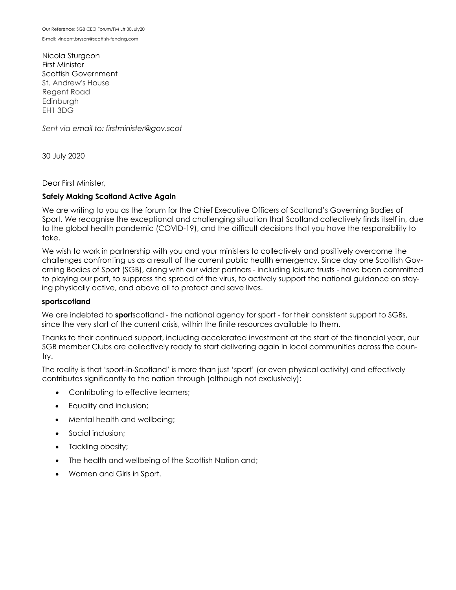E-mail: vincent.bryson@scottish-fencing.com

Nicola Sturgeon First Minister Scottish Government St. Andrew's House Regent Road Edinburgh EH1 3DG

*Sent via email to: firstminister@gov.scot*

30 July 2020

Dear First Minister,

# **Safely Making Scotland Active Again**

We are writing to you as the forum for the Chief Executive Officers of Scotland's Governing Bodies of Sport. We recognise the exceptional and challenging situation that Scotland collectively finds itself in, due to the global health pandemic (COVID-19), and the difficult decisions that you have the responsibility to take.

We wish to work in partnership with you and your ministers to collectively and positively overcome the challenges confronting us as a result of the current public health emergency. Since day one Scottish Governing Bodies of Sport (SGB), along with our wider partners - including leisure trusts - have been committed to playing our part, to suppress the spread of the virus, to actively support the national guidance on staying physically active, and above all to protect and save lives.

### **sportscotland**

We are indebted to **sport**scotland - the national agency for sport - for their consistent support to SGBs, since the very start of the current crisis, within the finite resources available to them.

Thanks to their continued support, including accelerated investment at the start of the financial year, our SGB member Clubs are collectively ready to start delivering again in local communities across the country.

The reality is that 'sport-in-Scotland' is more than just 'sport' (or even physical activity) and effectively contributes significantly to the nation through (although not exclusively):

- Contributing to effective learners;
- Equality and inclusion;
- Mental health and wellbeing;
- Social inclusion;
- Tackling obesity;
- The health and wellbeing of the Scottish Nation and;
- Women and Girls in Sport.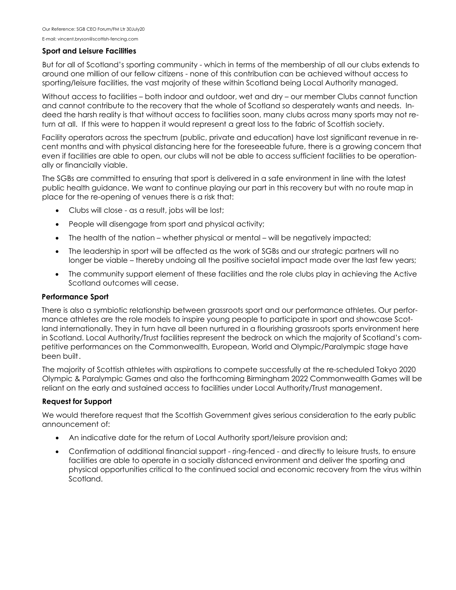E-mail: vincent.bryson@scottish-fencing.com

#### **Sport and Leisure Facilities**

But for all of Scotland's sporting community - which in terms of the membership of all our clubs extends to around one million of our fellow citizens - none of this contribution can be achieved without access to sporting/leisure facilities, the vast majority of these within Scotland being Local Authority managed.

Without access to facilities – both indoor and outdoor, wet and dry – our member Clubs cannot function and cannot contribute to the recovery that the whole of Scotland so desperately wants and needs. Indeed the harsh reality is that without access to facilities soon, many clubs across many sports may not return at all. If this were to happen it would represent a great loss to the fabric of Scottish society.

Facility operators across the spectrum (public, private and education) have lost significant revenue in recent months and with physical distancing here for the foreseeable future, there is a growing concern that even if facilities are able to open, our clubs will not be able to access sufficient facilities to be operationally or financially viable.

The SGBs are committed to ensuring that sport is delivered in a safe environment in line with the latest public health guidance. We want to continue playing our part in this recovery but with no route map in place for the re-opening of venues there is a risk that:

- Clubs will close as a result, jobs will be lost;
- People will disengage from sport and physical activity;
- The health of the nation whether physical or mental will be negatively impacted;
- The leadership in sport will be affected as the work of SGBs and our strategic partners will no longer be viable – thereby undoing all the positive societal impact made over the last few years;
- The community support element of these facilities and the role clubs play in achieving the Active Scotland outcomes will cease.

### **Performance Sport**

There is also a symbiotic relationship between grassroots sport and our performance athletes. Our performance athletes are the role models to inspire young people to participate in sport and showcase Scotland internationally. They in turn have all been nurtured in a flourishing grassroots sports environment here in Scotland. Local Authority/Trust facilities represent the bedrock on which the majority of Scotland's competitive performances on the Commonwealth, European, World and Olympic/Paralympic stage have been built.

The majority of Scottish athletes with aspirations to compete successfully at the re-scheduled Tokyo 2020 Olympic & Paralympic Games and also the forthcoming Birmingham 2022 Commonwealth Games will be reliant on the early and sustained access to facilities under Local Authority/Trust management.

### **Request for Support**

We would therefore request that the Scottish Government gives serious consideration to the early public announcement of:

- An indicative date for the return of Local Authority sport/leisure provision and;
- Confirmation of additional financial support ring-fenced and directly to leisure trusts, to ensure facilities are able to operate in a socially distanced environment and deliver the sporting and physical opportunities critical to the continued social and economic recovery from the virus within Scotland.